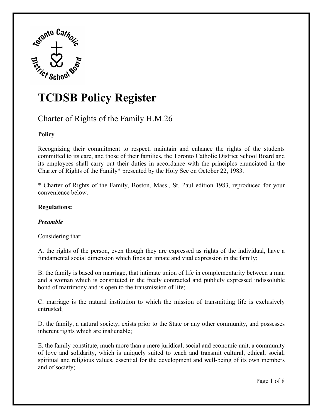

# **TCDSB Policy Register**

# Charter of Rights of the Family H.M.26

# **Policy**

Recognizing their commitment to respect, maintain and enhance the rights of the students committed to its care, and those of their families, the Toronto Catholic District School Board and its employees shall carry out their duties in accordance with the principles enunciated in the Charter of Rights of the Family\* presented by the Holy See on October 22, 1983.

\* Charter of Rights of the Family, Boston, Mass., St. Paul edition 1983, reproduced for your convenience below.

# **Regulations:**

# *Preamble*

Considering that:

A. the rights of the person, even though they are expressed as rights of the individual, have a fundamental social dimension which finds an innate and vital expression in the family;

B. the family is based on marriage, that intimate union of life in complementarity between a man and a woman which is constituted in the freely contracted and publicly expressed indissoluble bond of matrimony and is open to the transmission of life;

C. marriage is the natural institution to which the mission of transmitting life is exclusively entrusted;

D. the family, a natural society, exists prior to the State or any other community, and possesses inherent rights which are inalienable;

E. the family constitute, much more than a mere juridical, social and economic unit, a community of love and solidarity, which is uniquely suited to teach and transmit cultural, ethical, social, spiritual and religious values, essential for the development and well-being of its own members and of society;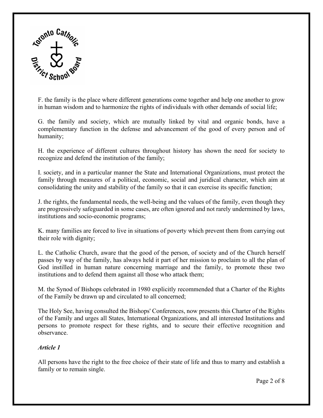

F. the family is the place where different generations come together and help one another to grow in human wisdom and to harmonize the rights of individuals with other demands of social life;

G. the family and society, which are mutually linked by vital and organic bonds, have a complementary function in the defense and advancement of the good of every person and of humanity;

H. the experience of different cultures throughout history has shown the need for society to recognize and defend the institution of the family;

I. society, and in a particular manner the State and International Organizations, must protect the family through measures of a political, economic, social and juridical character, which aim at consolidating the unity and stability of the family so that it can exercise its specific function;

J. the rights, the fundamental needs, the well-being and the values of the family, even though they are progressively safeguarded in some cases, are often ignored and not rarely undermined by laws, institutions and socio-economic programs;

K. many families are forced to live in situations of poverty which prevent them from carrying out their role with dignity;

L. the Catholic Church, aware that the good of the person, of society and of the Church herself passes by way of the family, has always held it part of her mission to proclaim to all the plan of God instilled in human nature concerning marriage and the family, to promote these two institutions and to defend them against all those who attack them;

M. the Synod of Bishops celebrated in 1980 explicitly recommended that a Charter of the Rights of the Family be drawn up and circulated to all concerned;

The Holy See, having consulted the Bishops' Conferences, now presents this Charter of the Rights of the Family and urges all States, International Organizations, and all interested Institutions and persons to promote respect for these rights, and to secure their effective recognition and observance.

# *Article 1*

All persons have the right to the free choice of their state of life and thus to marry and establish a family or to remain single.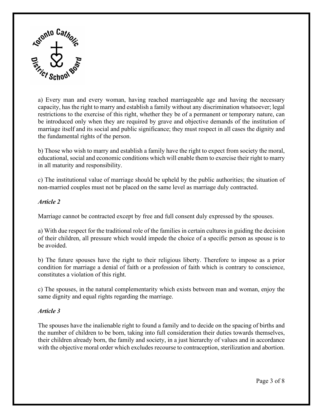

a) Every man and every woman, having reached marriageable age and having the necessary capacity, has the right to marry and establish a family without any discrimination whatsoever; legal restrictions to the exercise of this right, whether they be of a permanent or temporary nature, can be introduced only when they are required by grave and objective demands of the institution of marriage itself and its social and public significance; they must respect in all cases the dignity and the fundamental rights of the person.

b) Those who wish to marry and establish a family have the right to expect from society the moral, educational, social and economic conditions which will enable them to exercise their right to marry in all maturity and responsibility.

c) The institutional value of marriage should be upheld by the public authorities; the situation of non-married couples must not be placed on the same level as marriage duly contracted.

# *Article 2*

Marriage cannot be contracted except by free and full consent duly expressed by the spouses.

a) With due respect for the traditional role of the families in certain cultures in guiding the decision of their children, all pressure which would impede the choice of a specific person as spouse is to be avoided.

b) The future spouses have the right to their religious liberty. Therefore to impose as a prior condition for marriage a denial of faith or a profession of faith which is contrary to conscience, constitutes a violation of this right.

c) The spouses, in the natural complementarity which exists between man and woman, enjoy the same dignity and equal rights regarding the marriage.

#### *Article 3*

The spouses have the inalienable right to found a family and to decide on the spacing of births and the number of children to be born, taking into full consideration their duties towards themselves, their children already born, the family and society, in a just hierarchy of values and in accordance with the objective moral order which excludes recourse to contraception, sterilization and abortion.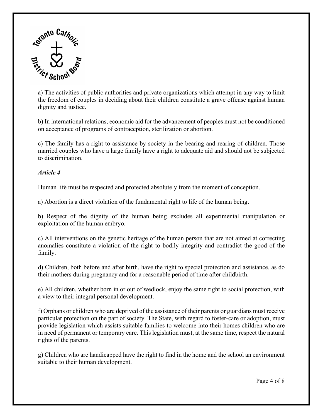

a) The activities of public authorities and private organizations which attempt in any way to limit the freedom of couples in deciding about their children constitute a grave offense against human dignity and justice.

b) In international relations, economic aid for the advancement of peoples must not be conditioned on acceptance of programs of contraception, sterilization or abortion.

c) The family has a right to assistance by society in the bearing and rearing of children. Those married couples who have a large family have a right to adequate aid and should not be subjected to discrimination.

# *Article 4*

Human life must be respected and protected absolutely from the moment of conception.

a) Abortion is a direct violation of the fundamental right to life of the human being.

b) Respect of the dignity of the human being excludes all experimental manipulation or exploitation of the human embryo.

c) All interventions on the genetic heritage of the human person that are not aimed at correcting anomalies constitute a violation of the right to bodily integrity and contradict the good of the family.

d) Children, both before and after birth, have the right to special protection and assistance, as do their mothers during pregnancy and for a reasonable period of time after childbirth.

e) All children, whether born in or out of wedlock, enjoy the same right to social protection, with a view to their integral personal development.

f) Orphans or children who are deprived of the assistance of their parents or guardians must receive particular protection on the part of society. The State, with regard to foster-care or adoption, must provide legislation which assists suitable families to welcome into their homes children who are in need of permanent or temporary care. This legislation must, at the same time, respect the natural rights of the parents.

g) Children who are handicapped have the right to find in the home and the school an environment suitable to their human development.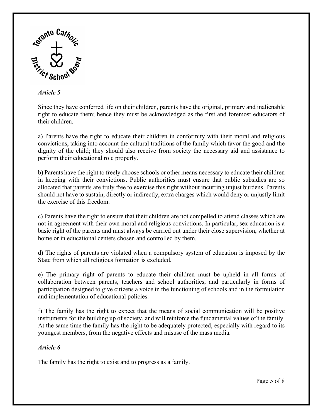

#### *Article 5*

Since they have conferred life on their children, parents have the original, primary and inalienable right to educate them; hence they must be acknowledged as the first and foremost educators of their children.

a) Parents have the right to educate their children in conformity with their moral and religious convictions, taking into account the cultural traditions of the family which favor the good and the dignity of the child; they should also receive from society the necessary aid and assistance to perform their educational role properly.

b) Parents have the right to freely choose schools or other means necessary to educate their children in keeping with their convictions. Public authorities must ensure that public subsidies are so allocated that parents are truly free to exercise this right without incurring unjust burdens. Parents should not have to sustain, directly or indirectly, extra charges which would deny or unjustly limit the exercise of this freedom.

c) Parents have the right to ensure that their children are not compelled to attend classes which are not in agreement with their own moral and religious convictions. In particular, sex education is a basic right of the parents and must always be carried out under their close supervision, whether at home or in educational centers chosen and controlled by them.

d) The rights of parents are violated when a compulsory system of education is imposed by the State from which all religious formation is excluded.

e) The primary right of parents to educate their children must be upheld in all forms of collaboration between parents, teachers and school authorities, and particularly in forms of participation designed to give citizens a voice in the functioning of schools and in the formulation and implementation of educational policies.

f) The family has the right to expect that the means of social communication will be positive instruments for the building up of society, and will reinforce the fundamental values of the family. At the same time the family has the right to be adequately protected, especially with regard to its youngest members, from the negative effects and misuse of the mass media.

# *Article 6*

The family has the right to exist and to progress as a family.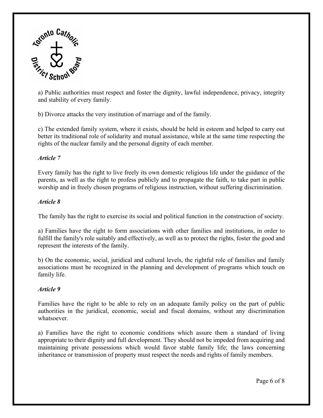

a) Public authorities must respect and foster the dignity, lawful independence, privacy, integrity and stability of every family.

b) Divorce attacks the very institution of marriage and of the family.

c) The extended family system, where it exists, should be held in esteem and helped to carry out better its traditional role of solidarity and mutual assistance, while at the same time respecting the rights of the nuclear family and the personal dignity of each member.

# *Article 7*

Every family has the right to live freely its own domestic religious life under the guidance of the parents, as well as the right to profess publicly and to propagate the faith, to take part in public worship and in freely chosen programs of religious instruction, without suffering discrimination.

#### *Article 8*

The family has the right to exercise its social and political function in the construction of society.

a) Families have the right to form associations with other families and institutions, in order to fulfill the family's role suitably and effectively, as well as to protect the rights, foster the good and represent the interests of the family.

b) On the economic, social, juridical and cultural levels, the rightful role of families and family associations must be recognized in the planning and development of programs which touch on family life.

#### *Article 9*

Families have the right to be able to rely on an adequate family policy on the part of public authorities in the juridical, economic, social and fiscal domains, without any discrimination whatsoever.

a) Families have the right to economic conditions which assure them a standard of living appropriate to their dignity and full development. They should not be impeded from acquiring and maintaining private possessions which would favor stable family life; the laws concerning inheritance or transmission of property must respect the needs and rights of family members.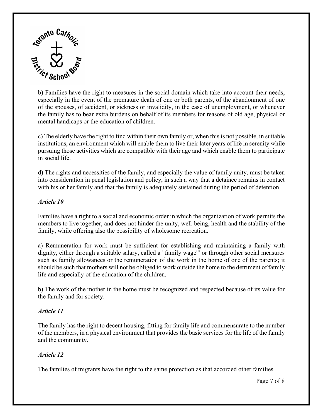

b) Families have the right to measures in the social domain which take into account their needs, especially in the event of the premature death of one or both parents, of the abandonment of one of the spouses, of accident, or sickness or invalidity, in the case of unemployment, or whenever the family has to bear extra burdens on behalf of its members for reasons of old age, physical or mental handicaps or the education of children.

c) The elderly have the right to find within their own family or, when this is not possible, in suitable institutions, an environment which will enable them to live their later years of life in serenity while pursuing those activities which are compatible with their age and which enable them to participate in social life.

d) The rights and necessities of the family, and especially the value of family unity, must be taken into consideration in penal legislation and policy, in such a way that a detainee remains in contact with his or her family and that the family is adequately sustained during the period of detention.

# *Article 10*

Families have a right to a social and economic order in which the organization of work permits the members to live together, and does not hinder the unity, well-being, health and the stability of the family, while offering also the possibility of wholesome recreation.

a) Remuneration for work must be sufficient for establishing and maintaining a family with dignity, either through a suitable salary, called a "family wage'" or through other social measures such as family allowances or the remuneration of the work in the home of one of the parents; it should be such that mothers will not be obliged to work outside the home to the detriment of family life and especially of the education of the children.

b) The work of the mother in the home must be recognized and respected because of its value for the family and for society.

#### *Article 11*

The family has the right to decent housing, fitting for family life and commensurate to the number of the members, in a physical environment that provides the basic services for the life of the family and the community.

# *Article 12*

The families of migrants have the right to the same protection as that accorded other families.